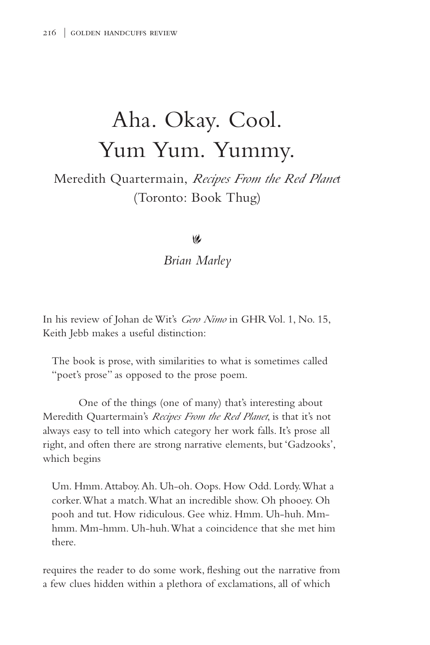## Aha. Okay. Cool. Yum Yum. Yummy.

## Meredith Quartermain, *Recipes From the Red Planet* (Toronto: Book Thug)

## $\vee$

## *Brian Marley*

In his review of Johan de Wit's *Gero Nimo* in GHR Vol. 1, No. 15, Keith Jebb makes a useful distinction:

The book is prose, with similarities to what is sometimes called "poet's prose" as opposed to the prose poem.

One of the things (one of many) that's interesting about Meredith Quartermain's *Recipes From the Red Planet*, is that it's not always easy to tell into which category her work falls. It's prose all right, and often there are strong narrative elements, but 'Gadzooks', which begins

Um. Hmm. Attaboy. Ah. Uh-oh. Oops. How Odd. Lordy. What a corker. What a match. What an incredible show. Oh phooey. Oh pooh and tut. How ridiculous. Gee whiz. Hmm. Uh-huh. Mmhmm. Mm-hmm. Uh-huh. What a coincidence that she met him there.

requires the reader to do some work, fleshing out the narrative from a few clues hidden within a plethora of exclamations, all of which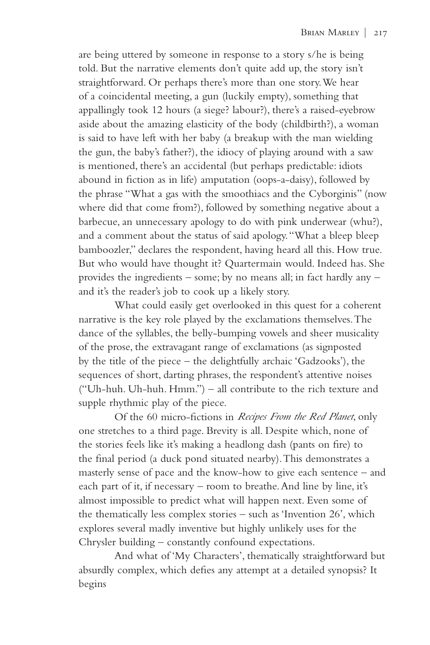are being uttered by someone in response to a story s/he is being told. But the narrative elements don't quite add up, the story isn't straightforward. Or perhaps there's more than one story. We hear of a coincidental meeting, a gun (luckily empty), something that appallingly took 12 hours (a siege? labour?), there's a raised-eyebrow aside about the amazing elasticity of the body (childbirth?), a woman is said to have left with her baby (a breakup with the man wielding the gun, the baby's father?), the idiocy of playing around with a saw is mentioned, there's an accidental (but perhaps predictable: idiots abound in fiction as in life) amputation (oops-a-daisy), followed by the phrase "What a gas with the smoothiacs and the Cyborginis" (now where did that come from?), followed by something negative about a barbecue, an unnecessary apology to do with pink underwear (whu?), and a comment about the status of said apology. "What a bleep bleep bamboozler," declares the respondent, having heard all this. How true. But who would have thought it? Quartermain would. Indeed has. She provides the ingredients – some; by no means all; in fact hardly any – and it's the reader's job to cook up a likely story.

What could easily get overlooked in this quest for a coherent narrative is the key role played by the exclamations themselves. The dance of the syllables, the belly-bumping vowels and sheer musicality of the prose, the extravagant range of exclamations (as signposted by the title of the piece – the delightfully archaic 'Gadzooks'), the sequences of short, darting phrases, the respondent's attentive noises ("Uh-huh. Uh-huh. Hmm.") – all contribute to the rich texture and supple rhythmic play of the piece.

Of the 60 micro-fictions in *Recipes From the Red Planet*, only one stretches to a third page. Brevity is all. Despite which, none of the stories feels like it's making a headlong dash (pants on fire) to the final period (a duck pond situated nearby). This demonstrates a masterly sense of pace and the know-how to give each sentence – and each part of it, if necessary – room to breathe. And line by line, it's almost impossible to predict what will happen next. Even some of the thematically less complex stories – such as 'Invention 26', which explores several madly inventive but highly unlikely uses for the Chrysler building – constantly confound expectations.

And what of 'My Characters', thematically straightforward but absurdly complex, which defies any attempt at a detailed synopsis? It begins